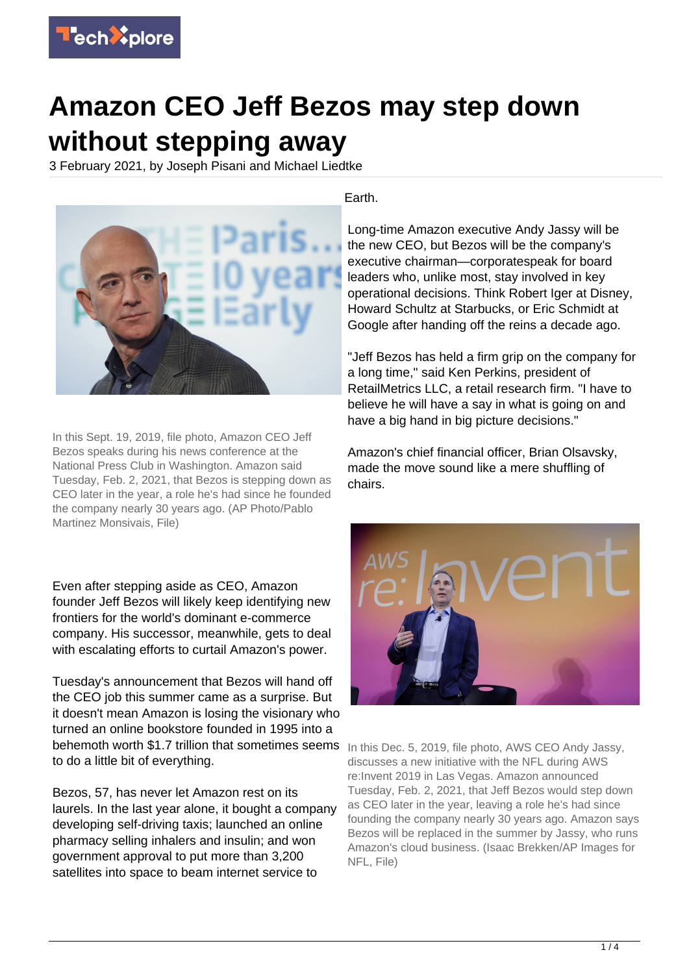

## **Amazon CEO Jeff Bezos may step down without stepping away**

3 February 2021, by Joseph Pisani and Michael Liedtke



In this Sept. 19, 2019, file photo, Amazon CEO Jeff Bezos speaks during his news conference at the National Press Club in Washington. Amazon said Tuesday, Feb. 2, 2021, that Bezos is stepping down as CEO later in the year, a role he's had since he founded the company nearly 30 years ago. (AP Photo/Pablo Martinez Monsivais, File)

Even after stepping aside as CEO, Amazon founder Jeff Bezos will likely keep identifying new frontiers for the world's dominant e-commerce company. His successor, meanwhile, gets to deal with escalating efforts to curtail Amazon's power.

Tuesday's announcement that Bezos will hand off the CEO job this summer came as a surprise. But it doesn't mean Amazon is losing the visionary who turned an online bookstore founded in 1995 into a behemoth worth \$1.7 trillion that sometimes seems In this Dec. 5, 2019, file photo, AWS CEO Andy Jassy, to do a little bit of everything.

Bezos, 57, has never let Amazon rest on its laurels. In the last year alone, it bought a company developing self-driving taxis; launched an online pharmacy selling inhalers and insulin; and won government approval to put more than 3,200 satellites into space to beam internet service to

## Earth.

Long-time Amazon executive Andy Jassy will be the new CEO, but Bezos will be the company's executive chairman—corporatespeak for board leaders who, unlike most, stay involved in key operational decisions. Think Robert Iger at Disney, Howard Schultz at Starbucks, or Eric Schmidt at Google after handing off the reins a decade ago.

"Jeff Bezos has held a firm grip on the company for a long time," said Ken Perkins, president of RetailMetrics LLC, a retail research firm. "I have to believe he will have a say in what is going on and have a big hand in big picture decisions."

Amazon's chief financial officer, Brian Olsavsky, made the move sound like a mere shuffling of chairs.



discusses a new initiative with the NFL during AWS re:Invent 2019 in Las Vegas. Amazon announced Tuesday, Feb. 2, 2021, that Jeff Bezos would step down as CEO later in the year, leaving a role he's had since founding the company nearly 30 years ago. Amazon says Bezos will be replaced in the summer by Jassy, who runs Amazon's cloud business. (Isaac Brekken/AP Images for NFL, File)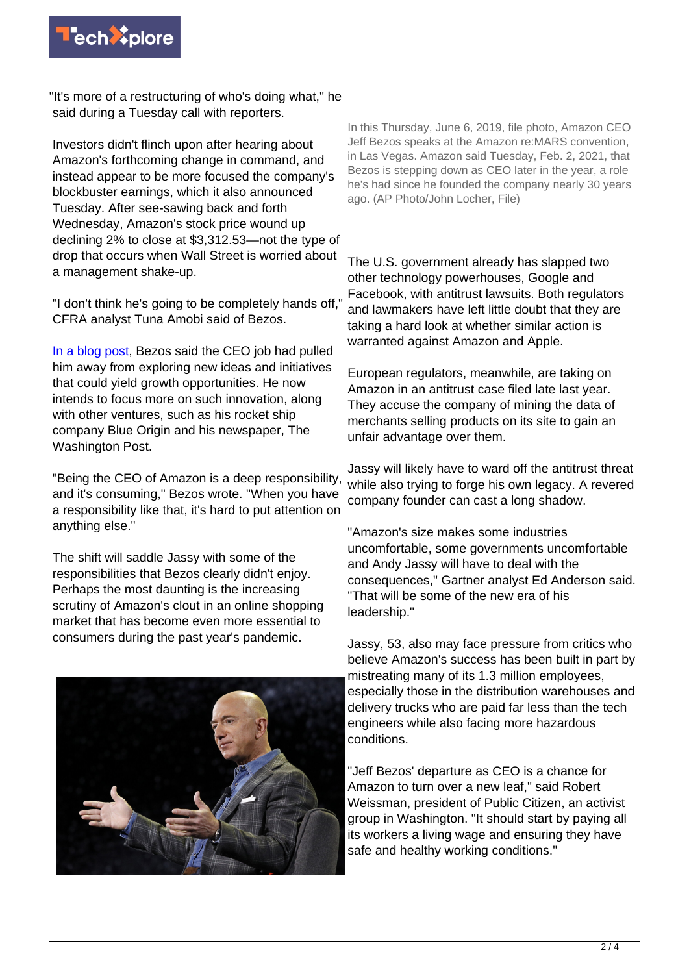

"It's more of a restructuring of who's doing what," he said during a Tuesday call with reporters.

Investors didn't flinch upon after hearing about Amazon's forthcoming change in command, and instead appear to be more focused the company's blockbuster earnings, which it also announced Tuesday. After see-sawing back and forth Wednesday, Amazon's stock price wound up declining 2% to close at \$3,312.53—not the type of drop that occurs when Wall Street is worried about a management shake-up.

"I don't think he's going to be completely hands off," CFRA analyst Tuna Amobi said of Bezos.

[In a blog post](https://www.aboutamazon.com/news/company-news/email-from-jeff-bezos-to-employees), Bezos said the CEO job had pulled him away from exploring new ideas and initiatives that could yield growth opportunities. He now intends to focus more on such innovation, along with other ventures, such as his rocket ship company Blue Origin and his newspaper, The Washington Post.

"Being the CEO of Amazon is a deep responsibility, and it's consuming," Bezos wrote. "When you have a responsibility like that, it's hard to put attention on anything else."

The shift will saddle Jassy with some of the responsibilities that Bezos clearly didn't enjoy. Perhaps the most daunting is the increasing scrutiny of Amazon's clout in an online shopping market that has become even more essential to consumers during the past year's pandemic.



In this Thursday, June 6, 2019, file photo, Amazon CEO Jeff Bezos speaks at the Amazon re:MARS convention, in Las Vegas. Amazon said Tuesday, Feb. 2, 2021, that Bezos is stepping down as CEO later in the year, a role he's had since he founded the company nearly 30 years ago. (AP Photo/John Locher, File)

The U.S. government already has slapped two other technology powerhouses, Google and Facebook, with antitrust lawsuits. Both regulators and lawmakers have left little doubt that they are taking a hard look at whether similar action is warranted against Amazon and Apple.

European regulators, meanwhile, are taking on Amazon in an antitrust case filed late last year. They accuse the company of mining the data of merchants selling products on its site to gain an unfair advantage over them.

Jassy will likely have to ward off the antitrust threat while also trying to forge his own legacy. A revered company founder can cast a long shadow.

"Amazon's size makes some industries uncomfortable, some governments uncomfortable and Andy Jassy will have to deal with the consequences," Gartner analyst Ed Anderson said. "That will be some of the new era of his leadership."

Jassy, 53, also may face pressure from critics who believe Amazon's success has been built in part by mistreating many of its 1.3 million employees, especially those in the distribution warehouses and delivery trucks who are paid far less than the tech engineers while also facing more hazardous conditions.

"Jeff Bezos' departure as CEO is a chance for Amazon to turn over a new leaf," said Robert Weissman, president of Public Citizen, an activist group in Washington. "It should start by paying all its workers a living wage and ensuring they have safe and healthy working conditions."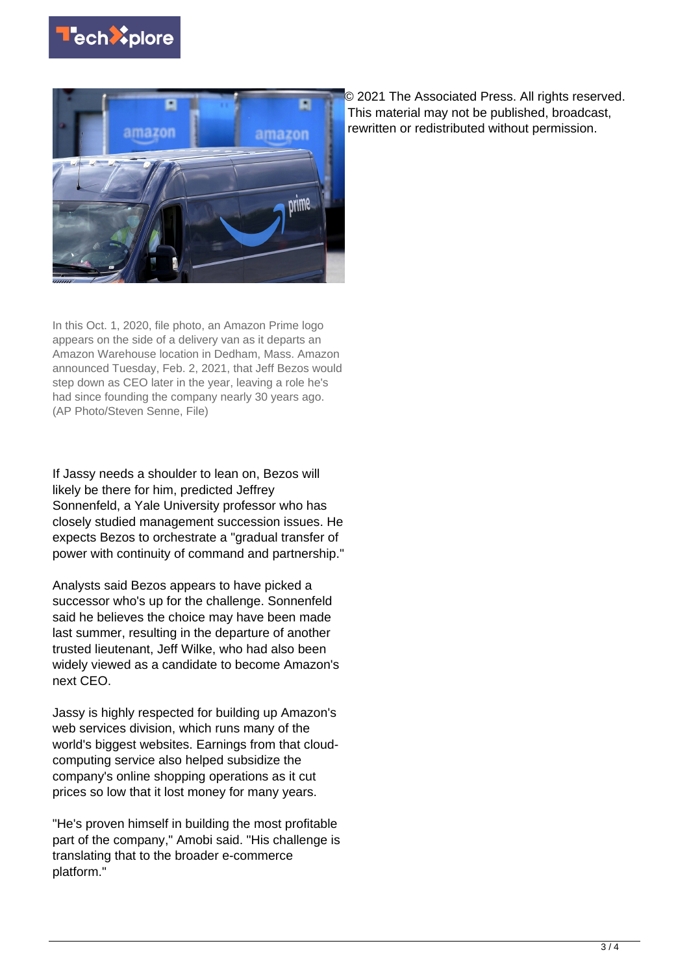



In this Oct. 1, 2020, file photo, an Amazon Prime logo appears on the side of a delivery van as it departs an Amazon Warehouse location in Dedham, Mass. Amazon announced Tuesday, Feb. 2, 2021, that Jeff Bezos would step down as CEO later in the year, leaving a role he's had since founding the company nearly 30 years ago. (AP Photo/Steven Senne, File)

If Jassy needs a shoulder to lean on, Bezos will likely be there for him, predicted Jeffrey Sonnenfeld, a Yale University professor who has closely studied management succession issues. He expects Bezos to orchestrate a "gradual transfer of power with continuity of command and partnership."

Analysts said Bezos appears to have picked a successor who's up for the challenge. Sonnenfeld said he believes the choice may have been made last summer, resulting in the departure of another trusted lieutenant, Jeff Wilke, who had also been widely viewed as a candidate to become Amazon's next CEO.

Jassy is highly respected for building up Amazon's web services division, which runs many of the world's biggest websites. Earnings from that cloudcomputing service also helped subsidize the company's online shopping operations as it cut prices so low that it lost money for many years.

"He's proven himself in building the most profitable part of the company," Amobi said. "His challenge is translating that to the broader e-commerce platform."

© 2021 The Associated Press. All rights reserved. This material may not be published, broadcast, rewritten or redistributed without permission.